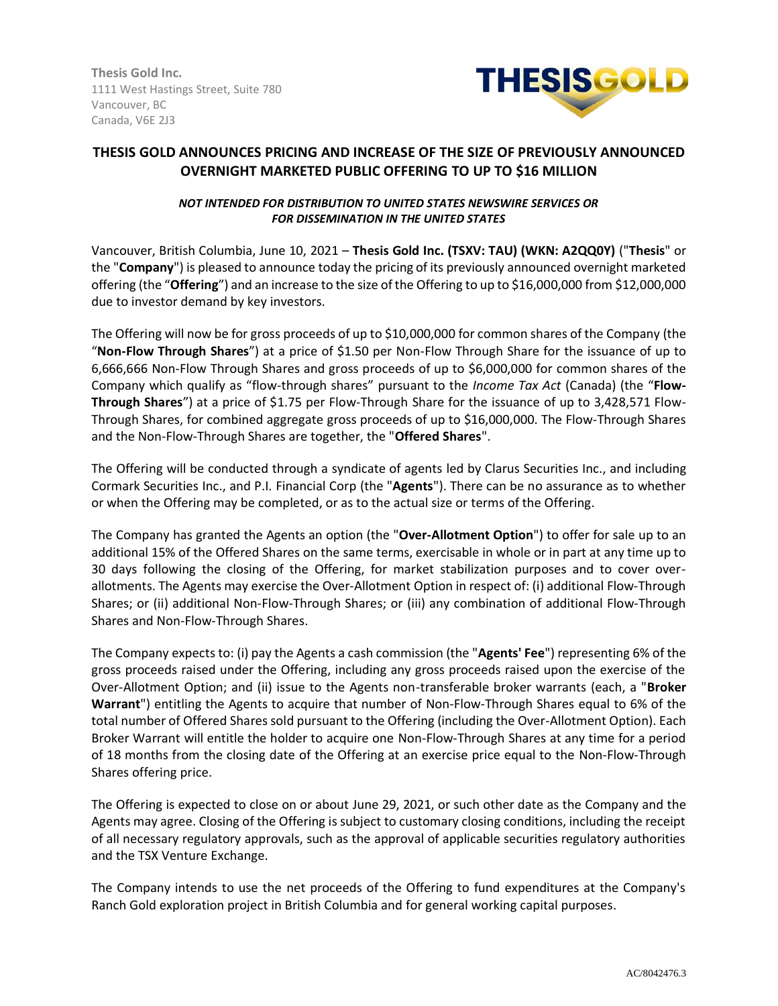**Thesis Gold Inc.** 1111 West Hastings Street, Suite 780 Vancouver, BC Canada, V6E 2J3



# **THESIS GOLD ANNOUNCES PRICING AND INCREASE OF THE SIZE OF PREVIOUSLY ANNOUNCED OVERNIGHT MARKETED PUBLIC OFFERING TO UP TO \$16 MILLION**

## *NOT INTENDED FOR DISTRIBUTION TO UNITED STATES NEWSWIRE SERVICES OR FOR DISSEMINATION IN THE UNITED STATES*

Vancouver, British Columbia, June 10, 2021 – **Thesis Gold Inc. (TSXV: TAU) (WKN: A2QQ0Y)** ("**Thesis**" or the "**Company**") is pleased to announce today the pricing of its previously announced overnight marketed offering (the "**Offering**") and an increase to the size of the Offering to up to \$16,000,000 from \$12,000,000 due to investor demand by key investors.

The Offering will now be for gross proceeds of up to \$10,000,000 for common shares of the Company (the "**Non-Flow Through Shares**") at a price of \$1.50 per Non-Flow Through Share for the issuance of up to 6,666,666 Non-Flow Through Shares and gross proceeds of up to \$6,000,000 for common shares of the Company which qualify as "flow-through shares" pursuant to the *Income Tax Act* (Canada) (the "**Flow-Through Shares**") at a price of \$1.75 per Flow-Through Share for the issuance of up to 3,428,571 Flow-Through Shares, for combined aggregate gross proceeds of up to \$16,000,000. The Flow-Through Shares and the Non-Flow-Through Shares are together, the "**Offered Shares**".

The Offering will be conducted through a syndicate of agents led by Clarus Securities Inc., and including Cormark Securities Inc., and P.I. Financial Corp (the "**Agents**"). There can be no assurance as to whether or when the Offering may be completed, or as to the actual size or terms of the Offering.

The Company has granted the Agents an option (the "**Over-Allotment Option**") to offer for sale up to an additional 15% of the Offered Shares on the same terms, exercisable in whole or in part at any time up to 30 days following the closing of the Offering, for market stabilization purposes and to cover overallotments. The Agents may exercise the Over-Allotment Option in respect of: (i) additional Flow-Through Shares; or (ii) additional Non-Flow-Through Shares; or (iii) any combination of additional Flow-Through Shares and Non-Flow-Through Shares.

The Company expects to: (i) pay the Agents a cash commission (the "**Agents' Fee**") representing 6% of the gross proceeds raised under the Offering, including any gross proceeds raised upon the exercise of the Over-Allotment Option; and (ii) issue to the Agents non-transferable broker warrants (each, a "**Broker Warrant**") entitling the Agents to acquire that number of Non-Flow-Through Shares equal to 6% of the total number of Offered Shares sold pursuant to the Offering (including the Over-Allotment Option). Each Broker Warrant will entitle the holder to acquire one Non-Flow-Through Shares at any time for a period of 18 months from the closing date of the Offering at an exercise price equal to the Non-Flow-Through Shares offering price.

The Offering is expected to close on or about June 29, 2021, or such other date as the Company and the Agents may agree. Closing of the Offering is subject to customary closing conditions, including the receipt of all necessary regulatory approvals, such as the approval of applicable securities regulatory authorities and the TSX Venture Exchange.

The Company intends to use the net proceeds of the Offering to fund expenditures at the Company's Ranch Gold exploration project in British Columbia and for general working capital purposes.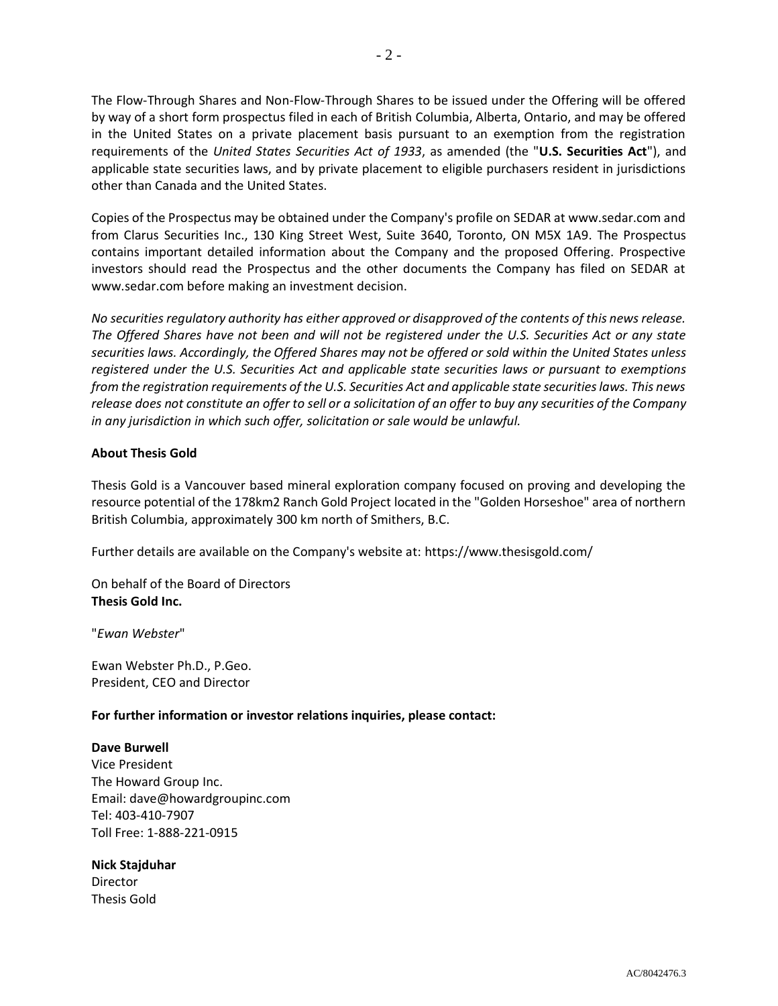The Flow-Through Shares and Non-Flow-Through Shares to be issued under the Offering will be offered by way of a short form prospectus filed in each of British Columbia, Alberta, Ontario, and may be offered in the United States on a private placement basis pursuant to an exemption from the registration requirements of the *United States Securities Act of 1933*, as amended (the "**U.S. Securities Act**"), and applicable state securities laws, and by private placement to eligible purchasers resident in jurisdictions other than Canada and the United States.

Copies of the Prospectus may be obtained under the Company's profile on SEDAR at www.sedar.com and from Clarus Securities Inc., 130 King Street West, Suite 3640, Toronto, ON M5X 1A9. The Prospectus contains important detailed information about the Company and the proposed Offering. Prospective investors should read the Prospectus and the other documents the Company has filed on SEDAR at www.sedar.com before making an investment decision.

*No securities regulatory authority has either approved or disapproved of the contents of this news release. The Offered Shares have not been and will not be registered under the U.S. Securities Act or any state securities laws. Accordingly, the Offered Shares may not be offered or sold within the United States unless registered under the U.S. Securities Act and applicable state securities laws or pursuant to exemptions from the registration requirements of the U.S. Securities Act and applicable state securities laws. This news release does not constitute an offer to sell or a solicitation of an offer to buy any securities of the Company in any jurisdiction in which such offer, solicitation or sale would be unlawful.*

## **About Thesis Gold**

Thesis Gold is a Vancouver based mineral exploration company focused on proving and developing the resource potential of the 178km2 Ranch Gold Project located in the "Golden Horseshoe" area of northern British Columbia, approximately 300 km north of Smithers, B.C.

Further details are available on the Company's website at: https://www.thesisgold.com/

On behalf of the Board of Directors **Thesis Gold Inc.**

"*Ewan Webster*"

Ewan Webster Ph.D., P.Geo. President, CEO and Director

## **For further information or investor relations inquiries, please contact:**

#### **Dave Burwell**

Vice President The Howard Group Inc. Email: dave@howardgroupinc.com Tel: 403-410-7907 Toll Free: 1-888-221-0915

#### **Nick Stajduhar**

Director Thesis Gold